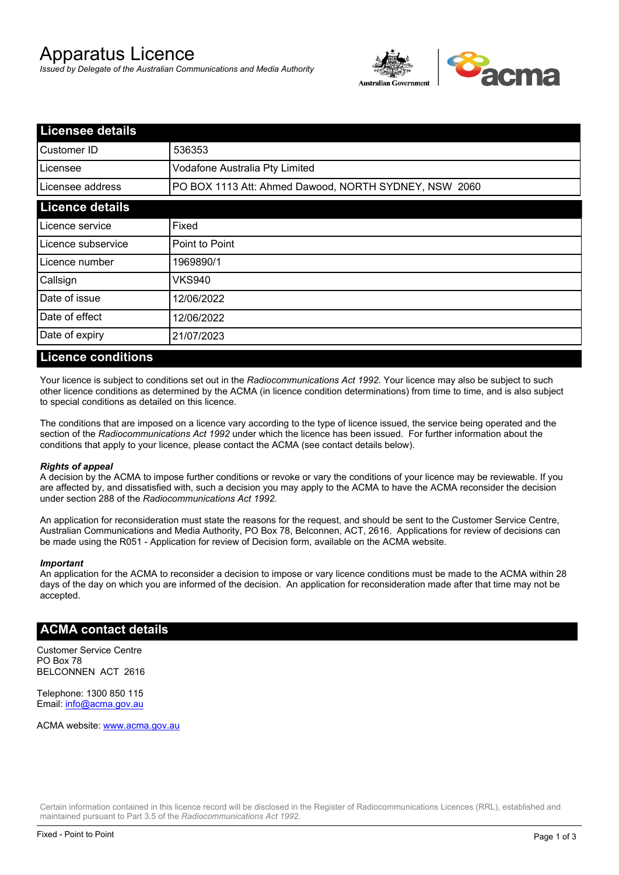# Apparatus Licence

*Issued by Delegate of the Australian Communications and Media Authority*



| <b>Licensee details</b> |                                                       |  |
|-------------------------|-------------------------------------------------------|--|
| lCustomer ID            | 536353                                                |  |
| l Licensee              | Vodafone Australia Pty Limited                        |  |
| Licensee address        | PO BOX 1113 Att: Ahmed Dawood, NORTH SYDNEY, NSW 2060 |  |
| <b>Licence details</b>  |                                                       |  |
| Licence service         | Fixed                                                 |  |
| Licence subservice      | Point to Point                                        |  |
| Licence number          | 1969890/1                                             |  |
| Callsign                | <b>VKS940</b>                                         |  |
| Date of issue           | 12/06/2022                                            |  |
| Date of effect          | 12/06/2022                                            |  |
| Date of expiry          | 21/07/2023                                            |  |

#### **Licence conditions**

Your licence is subject to conditions set out in the *Radiocommunications Act 1992*. Your licence may also be subject to such other licence conditions as determined by the ACMA (in licence condition determinations) from time to time, and is also subject to special conditions as detailed on this licence.

The conditions that are imposed on a licence vary according to the type of licence issued, the service being operated and the section of the *Radiocommunications Act 1992* under which the licence has been issued. For further information about the conditions that apply to your licence, please contact the ACMA (see contact details below).

#### *Rights of appeal*

A decision by the ACMA to impose further conditions or revoke or vary the conditions of your licence may be reviewable. If you are affected by, and dissatisfied with, such a decision you may apply to the ACMA to have the ACMA reconsider the decision under section 288 of the *Radiocommunications Act 1992*.

An application for reconsideration must state the reasons for the request, and should be sent to the Customer Service Centre, Australian Communications and Media Authority, PO Box 78, Belconnen, ACT, 2616. Applications for review of decisions can be made using the R051 - Application for review of Decision form, available on the ACMA website.

#### *Important*

An application for the ACMA to reconsider a decision to impose or vary licence conditions must be made to the ACMA within 28 days of the day on which you are informed of the decision. An application for reconsideration made after that time may not be accepted.

### **ACMA contact details**

Customer Service Centre PO Box 78 BELCONNEN ACT 2616

Telephone: 1300 850 115 Email: info@acma.gov.au

ACMA website: www.acma.gov.au

Certain information contained in this licence record will be disclosed in the Register of Radiocommunications Licences (RRL), established and maintained pursuant to Part 3.5 of the *Radiocommunications Act 1992.*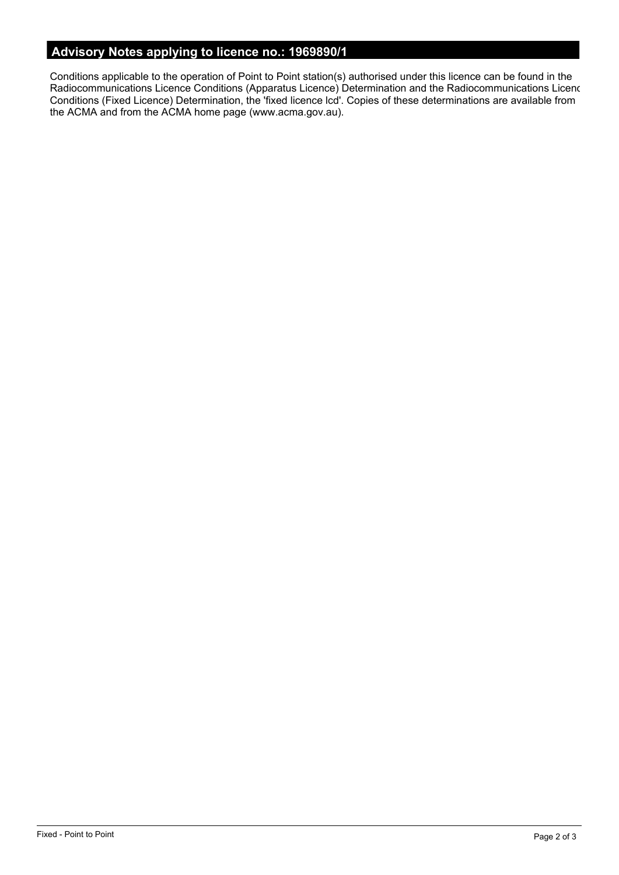# **Advisory Notes applying to licence no.: 1969890/1**

Conditions applicable to the operation of Point to Point station(s) authorised under this licence can be found in the Radiocommunications Licence Conditions (Apparatus Licence) Determination and the Radiocommunications Licence Conditions (Fixed Licence) Determination, the 'fixed licence lcd'. Copies of these determinations are available from the ACMA and from the ACMA home page (www.acma.gov.au).